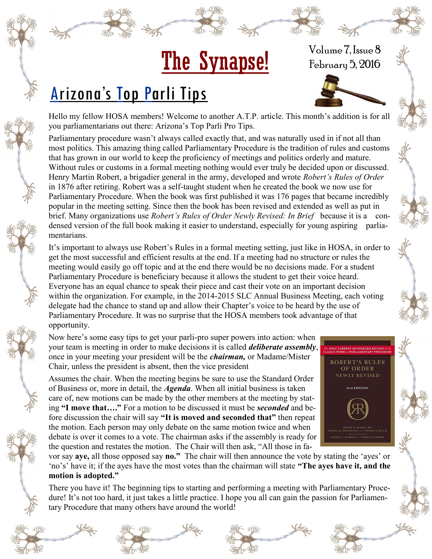# The Synapse! February 5, 2016

## Arizona's Top Parli Tips



Volume 7, Issue 8

Hello my fellow HOSA members! Welcome to another A.T.P. article. This month's addition is for all you parliamentarians out there: Arizona's Top Parli Pro Tips.

Parliamentary procedure wasn't always called exactly that, and was naturally used in if not all than most politics. This amazing thing called Parliamentary Procedure is the tradition of rules and customs that has grown in our world to keep the proficiency of meetings and politics orderly and mature. Without rules or customs in a formal meeting nothing would ever truly be decided upon or discussed. Henry Martin Robert, a brigadier general in the army, developed and wrote *Robert's Rules of Order*  in 1876 after retiring. Robert was a self-taught student when he created the book we now use for Parliamentary Procedure. When the book was first published it was 176 pages that became incredibly popular in the meeting setting. Since then the book has been revised and extended as well as put in brief. Many organizations use *Robert's Rules of Order Newly Revised: In Brief* because it is a condensed version of the full book making it easier to understand, especially for young aspiring parliamentarians.

It's important to always use Robert's Rules in a formal meeting setting, just like in HOSA, in order to get the most successful and efficient results at the end. If a meeting had no structure or rules the meeting would easily go off topic and at the end there would be no decisions made. For a student Parliamentary Procedure is beneficiary because it allows the student to get their voice heard. Everyone has an equal chance to speak their piece and cast their vote on an important decision within the organization. For example, in the 2014-2015 SLC Annual Business Meeting, each voting delegate had the chance to stand up and allow their Chapter's voice to be heard by the use of Parliamentary Procedure. It was no surprise that the HOSA members took advantage of that opportunity.

Now here's some easy tips to get your parli-pro super powers into action: when your team is meeting in order to make decisions it is called *deliberate assembly*, once in your meeting your president will be the *chairman,* or Madame/Mister Chair, unless the president is absent, then the vice president

Assumes the chair. When the meeting begins be sure to use the Standard Order of Business or, more in detail, the *Agenda*. When all initial business is taken care of, new motions can be made by the other members at the meeting by stating **"I move that…."** For a motion to be discussed it must be *seconded* and before discussion the chair will say **"It is moved and seconded that"** then repeat the motion. Each person may only debate on the same motion twice and when debate is over it comes to a vote. The chairman asks if the assembly is ready for the question and restates the motion. The Chair will then ask, "All those in fa-



vor say **aye,** all those opposed say **no."** The chair will then announce the vote by stating the 'ayes' or 'no's' have it; if the ayes have the most votes than the chairman will state **"The ayes have it, and the motion is adopted."**

There you have it! The beginning tips to starting and performing a meeting with Parliamentary Procedure! It's not too hard, it just takes a little practice. I hope you all can gain the passion for Parliamentary Procedure that many others have around the world!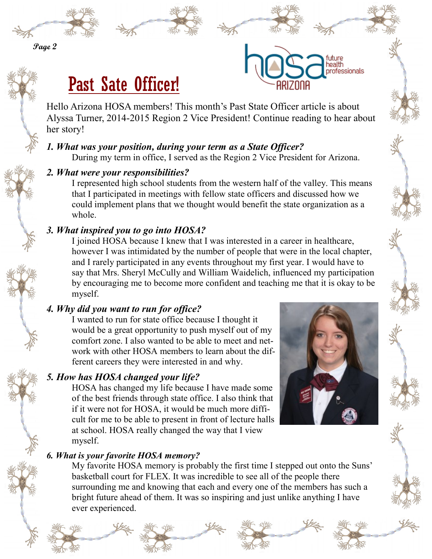







## Past Sate Officer!

Hello Arizona HOSA members! This month's Past State Officer article is about Alyssa Turner, 2014-2015 Region 2 Vice President! Continue reading to hear about her story!

#### *1. What was your position, during your term as a State Officer?*

During my term in office, I served as the Region 2 Vice President for Arizona.

#### *2. What were your responsibilities?*

I represented high school students from the western half of the valley. This means that I participated in meetings with fellow state officers and discussed how we could implement plans that we thought would benefit the state organization as a whole.

#### *3. What inspired you to go into HOSA?*

I joined HOSA because I knew that I was interested in a career in healthcare, however I was intimidated by the number of people that were in the local chapter, and I rarely participated in any events throughout my first year. I would have to say that Mrs. Sheryl McCully and William Waidelich, influenced my participation by encouraging me to become more confident and teaching me that it is okay to be myself.

#### *4. Why did you want to run for office?*

I wanted to run for state office because I thought it would be a great opportunity to push myself out of my comfort zone. I also wanted to be able to meet and network with other HOSA members to learn about the different careers they were interested in and why.

#### *5. How has HOSA changed your life?*

HOSA has changed my life because I have made some of the best friends through state office. I also think that if it were not for HOSA, it would be much more difficult for me to be able to present in front of lecture halls at school. HOSA really changed the way that I view myself.



#### *6. What is your favorite HOSA memory?*

My favorite HOSA memory is probably the first time I stepped out onto the Suns' basketball court for FLEX. It was incredible to see all of the people there surrounding me and knowing that each and every one of the members has such a bright future ahead of them. It was so inspiring and just unlike anything I have ever experienced.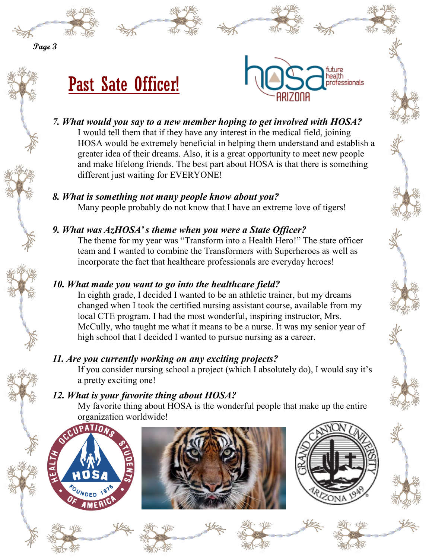



Past Sate Officer!





- *7. What would you say to a new member hoping to get involved with HOSA?* I would tell them that if they have any interest in the medical field, joining HOSA would be extremely beneficial in helping them understand and establish a greater idea of their dreams. Also, it is a great opportunity to meet new people and make lifelong friends. The best part about HOSA is that there is something different just waiting for EVERYONE!
- *8. What is something not many people know about you?* Many people probably do not know that I have an extreme love of tigers!

#### *9. What was AzHOSA' s theme when you were a State Officer?*

The theme for my year was "Transform into a Health Hero!" The state officer team and I wanted to combine the Transformers with Superheroes as well as incorporate the fact that healthcare professionals are everyday heroes!

#### *10. What made you want to go into the healthcare field?*

In eighth grade, I decided I wanted to be an athletic trainer, but my dreams changed when I took the certified nursing assistant course, available from my local CTE program. I had the most wonderful, inspiring instructor, Mrs. McCully, who taught me what it means to be a nurse. It was my senior year of high school that I decided I wanted to pursue nursing as a career.

#### *11. Are you currently working on any exciting projects?*

If you consider nursing school a project (which I absolutely do), I would say it's a pretty exciting one!

#### *12. What is your favorite thing about HOSA?*

My favorite thing about HOSA is the wonderful people that make up the entire organization worldwide!















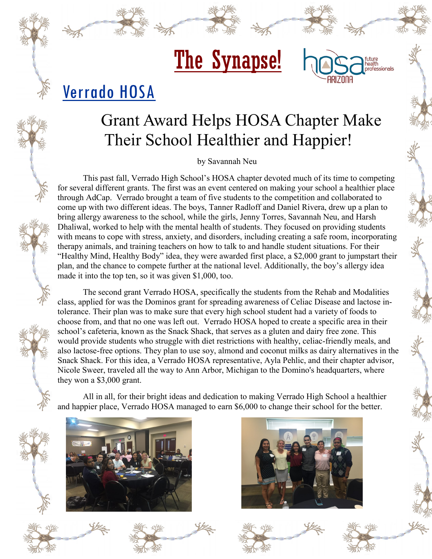# The Synapse!



### Verrado HOSA

### Grant Award Helps HOSA Chapter Make Their School Healthier and Happier!

by Savannah Neu

This past fall, Verrado High School's HOSA chapter devoted much of its time to competing for several different grants. The first was an event centered on making your school a healthier place through AdCap. Verrado brought a team of five students to the competition and collaborated to come up with two different ideas. The boys, Tanner Radloff and Daniel Rivera, drew up a plan to bring allergy awareness to the school, while the girls, Jenny Torres, Savannah Neu, and Harsh Dhaliwal, worked to help with the mental health of students. They focused on providing students with means to cope with stress, anxiety, and disorders, including creating a safe room, incorporating therapy animals, and training teachers on how to talk to and handle student situations. For their "Healthy Mind, Healthy Body" idea, they were awarded first place, a \$2,000 grant to jumpstart their plan, and the chance to compete further at the national level. Additionally, the boy's allergy idea made it into the top ten, so it was given \$1,000, too.

The second grant Verrado HOSA, specifically the students from the Rehab and Modalities class, applied for was the Dominos grant for spreading awareness of Celiac Disease and lactose intolerance. Their plan was to make sure that every high school student had a variety of foods to choose from, and that no one was left out. Verrado HOSA hoped to create a specific area in their school's cafeteria, known as the Snack Shack, that serves as a gluten and dairy free zone. This would provide students who struggle with diet restrictions with healthy, celiac-friendly meals, and also lactose-free options. They plan to use soy, almond and coconut milks as dairy alternatives in the Snack Shack. For this idea, a Verrado HOSA representative, Ayla Pehlic, and their chapter advisor, Nicole Sweer, traveled all the way to Ann Arbor, Michigan to the Domino's headquarters, where they won a \$3,000 grant.

All in all, for their bright ideas and dedication to making Verrado High School a healthier and happier place, Verrado HOSA managed to earn \$6,000 to change their school for the better.